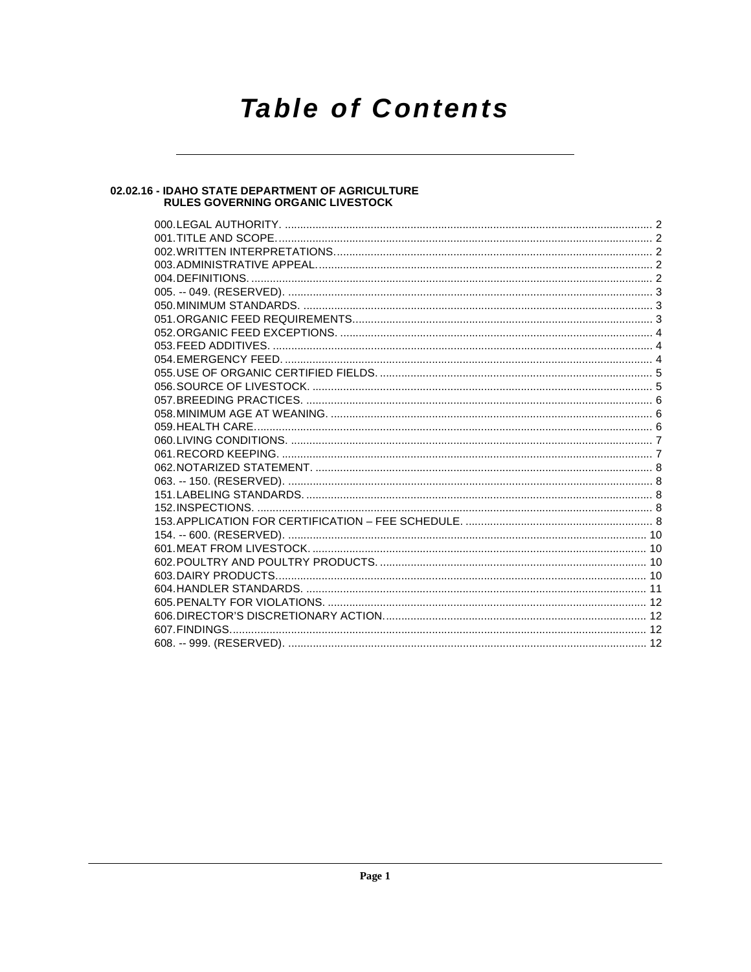# **Table of Contents**

# 02.02.16 - IDAHO STATE DEPARTMENT OF AGRICULTURE<br>RULES GOVERNING ORGANIC LIVESTOCK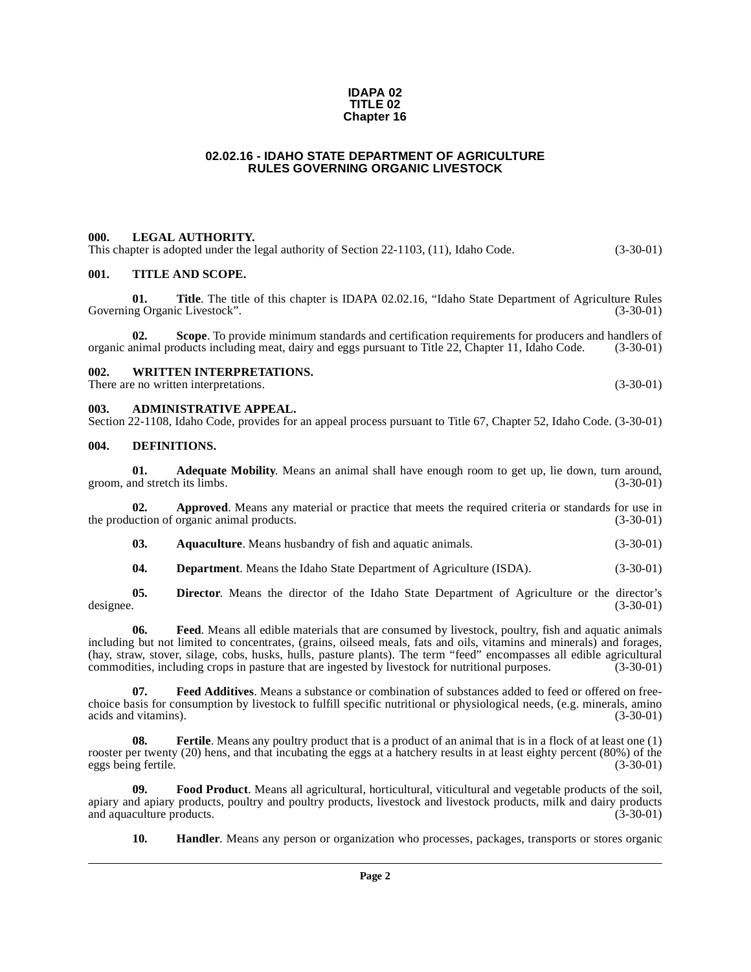### **IDAPA 02 TITLE 02 Chapter 16**

### **02.02.16 - IDAHO STATE DEPARTMENT OF AGRICULTURE RULES GOVERNING ORGANIC LIVESTOCK**

### <span id="page-1-1"></span><span id="page-1-0"></span>**000. LEGAL AUTHORITY.**

This chapter is adopted under the legal authority of Section 22-1103, (11), Idaho Code. (3-30-01)

### <span id="page-1-2"></span>**001. TITLE AND SCOPE.**

**01.** Title. The title of this chapter is IDAPA 02.02.16, "Idaho State Department of Agriculture Rules (3-30-01) Governing Organic Livestock".

**02. Scope**. To provide minimum standards and certification requirements for producers and handlers of organic animal products including meat, dairy and eggs pursuant to Title 22, Chapter 11, Idaho Code. (3-30-01)

### <span id="page-1-3"></span>**002. WRITTEN INTERPRETATIONS.**

There are no written interpretations. (3-30-01)

### <span id="page-1-4"></span>**003. ADMINISTRATIVE APPEAL.**

Section 22-1108, Idaho Code, provides for an appeal process pursuant to Title 67, Chapter 52, Idaho Code. (3-30-01)

### <span id="page-1-8"></span><span id="page-1-5"></span>**004. DEFINITIONS.**

<span id="page-1-6"></span>**01. Adequate Mobility**. Means an animal shall have enough room to get up, lie down, turn around, groom, and stretch its limbs. (3-30-01)

**02. Approved**. Means any material or practice that meets the required criteria or standards for use in the production of organic animal products. (3-30-01)

<span id="page-1-7"></span>**03. Aquaculture**. Means husbandry of fish and aquatic animals. (3-30-01)

<span id="page-1-9"></span>**04. Department**. Means the Idaho State Department of Agriculture (ISDA). (3-30-01)

**05.** Director. Means the director of the Idaho State Department of Agriculture or the director's designee. (3-30-01) designee. (3-30-01)

**06. Feed**. Means all edible materials that are consumed by livestock, poultry, fish and aquatic animals including but not limited to concentrates, (grains, oilseed meals, fats and oils, vitamins and minerals) and forages, (hay, straw, stover, silage, cobs, husks, hulls, pasture plants). The term "feed" encompasses all edible agricultural commodities, including crops in pasture that are ingested by livestock for nutritional purposes. (3-30-0 commodities, including crops in pasture that are ingested by livestock for nutritional purposes.

<span id="page-1-10"></span>**07. Feed Additives**. Means a substance or combination of substances added to feed or offered on freechoice basis for consumption by livestock to fulfill specific nutritional or physiological needs, (e.g. minerals, amino acids and vitamins). (3-30-01)

<span id="page-1-11"></span>**08.** Fertile. Means any poultry product that is a product of an animal that is in a flock of at least one (1) rooster per twenty (20) hens, and that incubating the eggs at a hatchery results in at least eighty percent (80%) of the eggs being fertile. (3-30-01)

**09. Food Product**. Means all agricultural, horticultural, viticultural and vegetable products of the soil, apiary and apiary products, poultry and poultry products, livestock and livestock products, milk and dairy products and aquaculture products. (3-30-01)

<span id="page-1-13"></span><span id="page-1-12"></span>**10. Handler**. Means any person or organization who processes, packages, transports or stores organic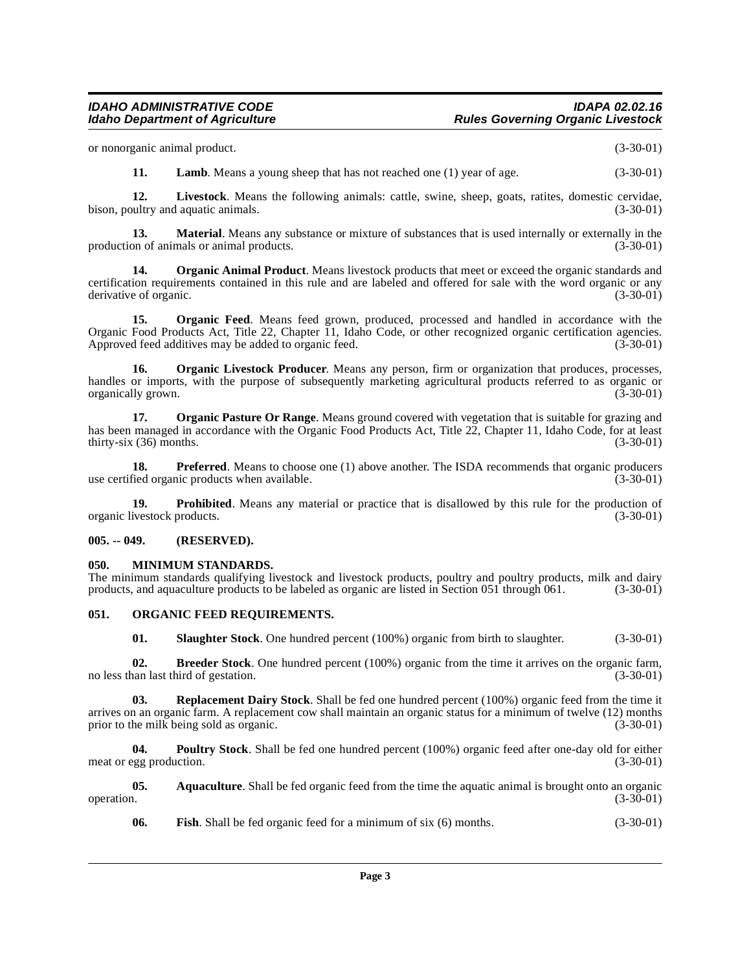or nonorganic animal product. (3-30-01)

<span id="page-2-7"></span><span id="page-2-6"></span>**11. Lamb**. Means a young sheep that has not reached one (1) year of age.  $(3-30-01)$ 

**12. Livestock**. Means the following animals: cattle, swine, sheep, goats, ratites, domestic cervidae, bison, poultry and aquatic animals. (3-30-01)

**13. Material**. Means any substance or mixture of substances that is used internally or externally in the production of animals or animal products. (3-30-01)

<span id="page-2-9"></span>**14. Organic Animal Product**. Means livestock products that meet or exceed the organic standards and certification requirements contained in this rule and are labeled and offered for sale with the word organic or any derivative of organic.

<span id="page-2-10"></span>**15. Organic Feed**. Means feed grown, produced, processed and handled in accordance with the Organic Food Products Act, Title 22, Chapter 11, Idaho Code, or other recognized organic certification agencies.<br>Approved feed additives may be added to organic feed. (3-30-01) Approved feed additives may be added to organic feed.

<span id="page-2-12"></span>**16. Organic Livestock Producer**. Means any person, firm or organization that produces, processes, handles or imports, with the purpose of subsequently marketing agricultural products referred to as organic or<br>(3-30-01) (3-30-01) organically grown.

<span id="page-2-13"></span>**17. Organic Pasture Or Range**. Means ground covered with vegetation that is suitable for grazing and has been managed in accordance with the Organic Food Products Act, Title 22, Chapter 11, Idaho Code, for at least  $thirty-six (36) months.$  (3-30-01)

**18. Preferred**. Means to choose one (1) above another. The ISDA recommends that organic producers fied organic products when available. (3-30-01) use certified organic products when available.

**19. Prohibited**. Means any material or practice that is disallowed by this rule for the production of ivestock products. (3-30-01) organic livestock products.

### <span id="page-2-0"></span>**005. -- 049. (RESERVED).**

### <span id="page-2-8"></span><span id="page-2-1"></span>**050. MINIMUM STANDARDS.**

The minimum standards qualifying livestock and livestock products, poultry and poultry products, milk and dairy products. and aquaculture products to be labeled as organic are listed in Section 051 through 061. (3-30-01) products, and aquaculture products to be labeled as organic are listed in Section 051 through 061.

### <span id="page-2-2"></span>**051. ORGANIC FEED REQUIREMENTS.**

<span id="page-2-16"></span><span id="page-2-15"></span><span id="page-2-11"></span><span id="page-2-4"></span>**01. Slaughter Stock**. One hundred percent (100%) organic from birth to slaughter. (3-30-01)

**02. Breeder Stock**. One hundred percent (100%) organic from the time it arrives on the organic farm, nan last third of gestation. (3-30-01) no less than last third of gestation.

**03. Replacement Dairy Stock**. Shall be fed one hundred percent (100%) organic feed from the time it arrives on an organic farm. A replacement cow shall maintain an organic status for a minimum of twelve (12) months prior to the milk being sold as organic. (3-30-01)

<span id="page-2-14"></span>**04. Poultry Stock**. Shall be fed one hundred percent (100%) organic feed after one-day old for either egg production. (3-30-01) meat or egg production.

**05.** Aquaculture. Shall be fed organic feed from the time the aquatic animal is brought onto an organic (3-30-01) operation. (3-30-01)

<span id="page-2-5"></span><span id="page-2-3"></span>**06. Fish**. Shall be fed organic feed for a minimum of six (6) months. (3-30-01)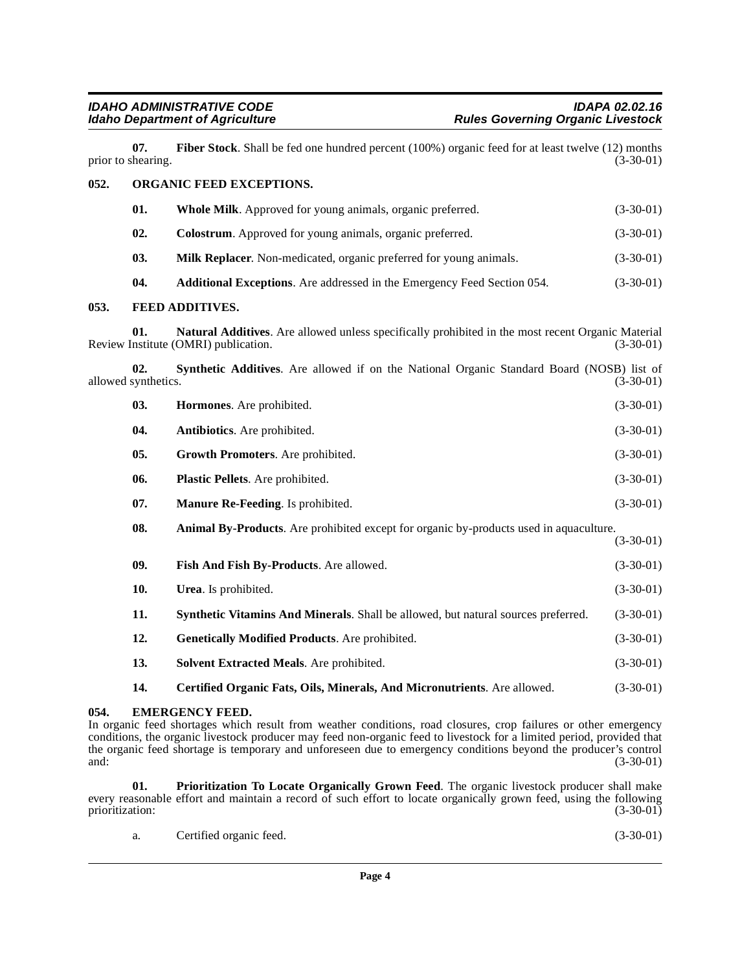<span id="page-3-23"></span><span id="page-3-20"></span><span id="page-3-16"></span><span id="page-3-15"></span><span id="page-3-14"></span><span id="page-3-9"></span><span id="page-3-8"></span><span id="page-3-6"></span><span id="page-3-3"></span><span id="page-3-1"></span><span id="page-3-0"></span>

|      | 07.<br>prior to shearing.  | <b>Fiber Stock</b> . Shall be fed one hundred percent $(100\%)$ organic feed for at least twelve $(12)$ months                            | $(3-30-01)$ |
|------|----------------------------|-------------------------------------------------------------------------------------------------------------------------------------------|-------------|
| 052. | ORGANIC FEED EXCEPTIONS.   |                                                                                                                                           |             |
|      | 01.                        | Whole Milk. Approved for young animals, organic preferred.                                                                                | $(3-30-01)$ |
|      | 02.                        | Colostrum. Approved for young animals, organic preferred.                                                                                 | $(3-30-01)$ |
|      | 03.                        | Milk Replacer. Non-medicated, organic preferred for young animals.                                                                        | $(3-30-01)$ |
|      | 04.                        | Additional Exceptions. Are addressed in the Emergency Feed Section 054.                                                                   | $(3-30-01)$ |
| 053. |                            | <b>FEED ADDITIVES.</b>                                                                                                                    |             |
|      | 01.                        | Natural Additives. Are allowed unless specifically prohibited in the most recent Organic Material<br>Review Institute (OMRI) publication. | $(3-30-01)$ |
|      | 02.<br>allowed synthetics. | Synthetic Additives. Are allowed if on the National Organic Standard Board (NOSB) list of                                                 | $(3-30-01)$ |
|      | 03.                        | Hormones. Are prohibited.                                                                                                                 | $(3-30-01)$ |
|      | 04.                        | Antibiotics. Are prohibited.                                                                                                              | $(3-30-01)$ |
|      | 05.                        | Growth Promoters. Are prohibited.                                                                                                         | $(3-30-01)$ |
|      | 06.                        | Plastic Pellets. Are prohibited.                                                                                                          | $(3-30-01)$ |
|      | 07.                        | Manure Re-Feeding. Is prohibited.                                                                                                         | $(3-30-01)$ |
|      | 08.                        | Animal By-Products. Are prohibited except for organic by-products used in aquaculture.                                                    | $(3-30-01)$ |
|      | 09.                        | Fish And Fish By-Products. Are allowed.                                                                                                   | $(3-30-01)$ |
|      | 10.                        | Urea. Is prohibited.                                                                                                                      | $(3-30-01)$ |
|      | 11.                        | Synthetic Vitamins And Minerals. Shall be allowed, but natural sources preferred.                                                         | $(3-30-01)$ |
|      | 12.                        | Genetically Modified Products. Are prohibited.                                                                                            | $(3-30-01)$ |
|      | 13.                        | Solvent Extracted Meals. Are prohibited.                                                                                                  | $(3-30-01)$ |
|      | 14.                        | Certified Organic Fats, Oils, Minerals, And Micronutrients. Are allowed.                                                                  | $(3-30-01)$ |

### <span id="page-3-22"></span><span id="page-3-21"></span><span id="page-3-19"></span><span id="page-3-17"></span><span id="page-3-13"></span><span id="page-3-12"></span><span id="page-3-11"></span><span id="page-3-10"></span><span id="page-3-7"></span><span id="page-3-5"></span><span id="page-3-4"></span><span id="page-3-2"></span>**054. EMERGENCY FEED.**

In organic feed shortages which result from weather conditions, road closures, crop failures or other emergency conditions, the organic livestock producer may feed non-organic feed to livestock for a limited period, provided that the organic feed shortage is temporary and unforeseen due to emergency conditions beyond the producer's control and: (3-30-01) and: (3-30-01)

**01. Prioritization To Locate Organically Grown Feed**. The organic livestock producer shall make every reasonable effort and maintain a record of such effort to locate organically grown feed, using the following prioritization: (3-30-01) prioritization:

<span id="page-3-18"></span>

|  | Certified organic feed. | $(3-30-01)$ |
|--|-------------------------|-------------|
|--|-------------------------|-------------|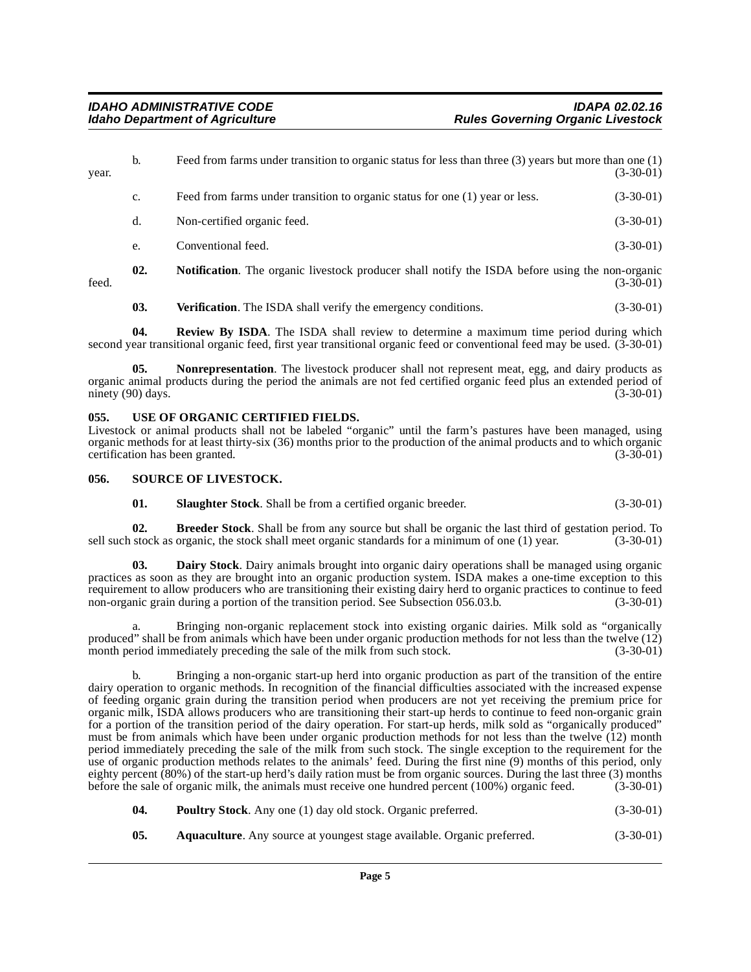| year. | b.  | Feed from farms under transition to organic status for less than three $(3)$ years but more than one $(1)$<br>$(3-30-01)$ |             |
|-------|-----|---------------------------------------------------------------------------------------------------------------------------|-------------|
|       | c.  | Feed from farms under transition to organic status for one (1) year or less.                                              | $(3-30-01)$ |
|       | d.  | Non-certified organic feed.                                                                                               | $(3-30-01)$ |
|       | e.  | Conventional feed.                                                                                                        | $(3-30-01)$ |
| feed. | 02. | <b>Notification</b> . The organic livestock producer shall notify the ISDA before using the non-organic                   | $(3-30-01)$ |

<span id="page-4-7"></span><span id="page-4-5"></span>**03.** Verification. The ISDA shall verify the emergency conditions. (3-30-01)

**04. Review By ISDA**. The ISDA shall review to determine a maximum time period during which second year transitional organic feed, first year transitional organic feed or conventional feed may be used. (3-30-01)

**05. Nonrepresentation**. The livestock producer shall not represent meat, egg, and dairy products as organic animal products during the period the animals are not fed certified organic feed plus an extended period of ninety (90) days. (3-30-01) ninety  $(90)$  days.

### <span id="page-4-10"></span><span id="page-4-0"></span>**055. USE OF ORGANIC CERTIFIED FIELDS.**

Livestock or animal products shall not be labeled "organic" until the farm's pastures have been managed, using organic methods for at least thirty-six (36) months prior to the production of the animal products and to which organic certification has been granted.

### <span id="page-4-1"></span>**056. SOURCE OF LIVESTOCK.**

<span id="page-4-9"></span><span id="page-4-8"></span><span id="page-4-4"></span><span id="page-4-3"></span>**01. Slaughter Stock**. Shall be from a certified organic breeder. (3-30-01)

**02.** Breeder Stock. Shall be from any source but shall be organic the last third of gestation period. To stock as organic, the stock shall meet organic standards for a minimum of one (1) year. (3-30-01) sell such stock as organic, the stock shall meet organic standards for a minimum of one (1) year.

**03. Dairy Stock**. Dairy animals brought into organic dairy operations shall be managed using organic practices as soon as they are brought into an organic production system. ISDA makes a one-time exception to this requirement to allow producers who are transitioning their existing dairy herd to organic practices to continue to feed non-organic grain during a portion of the transition period. See Subsection 056.03.b. (3-30-01)

Bringing non-organic replacement stock into existing organic dairies. Milk sold as "organically produced" shall be from animals which have been under organic production methods for not less than the twelve (12) month period immediately preceding the sale of the milk from such stock. (3-30-01)

b. Bringing a non-organic start-up herd into organic production as part of the transition of the entire dairy operation to organic methods. In recognition of the financial difficulties associated with the increased expense of feeding organic grain during the transition period when producers are not yet receiving the premium price for organic milk, ISDA allows producers who are transitioning their start-up herds to continue to feed non-organic grain for a portion of the transition period of the dairy operation. For start-up herds, milk sold as "organically produced" must be from animals which have been under organic production methods for not less than the twelve (12) month period immediately preceding the sale of the milk from such stock. The single exception to the requirement for the use of organic production methods relates to the animals' feed. During the first nine (9) months of this period, only eighty percent (80%) of the start-up herd's daily ration must be from organic sources. During the last three (3) months before the sale of organic milk, the animals must receive one hundred percent (100%) organic feed. (3-30-01)

- <span id="page-4-6"></span>**04. Poultry Stock**. Any one (1) day old stock. Organic preferred. (3-30-01)
- <span id="page-4-2"></span>**05.** Aquaculture. Any source at youngest stage available. Organic preferred.  $(3-30-01)$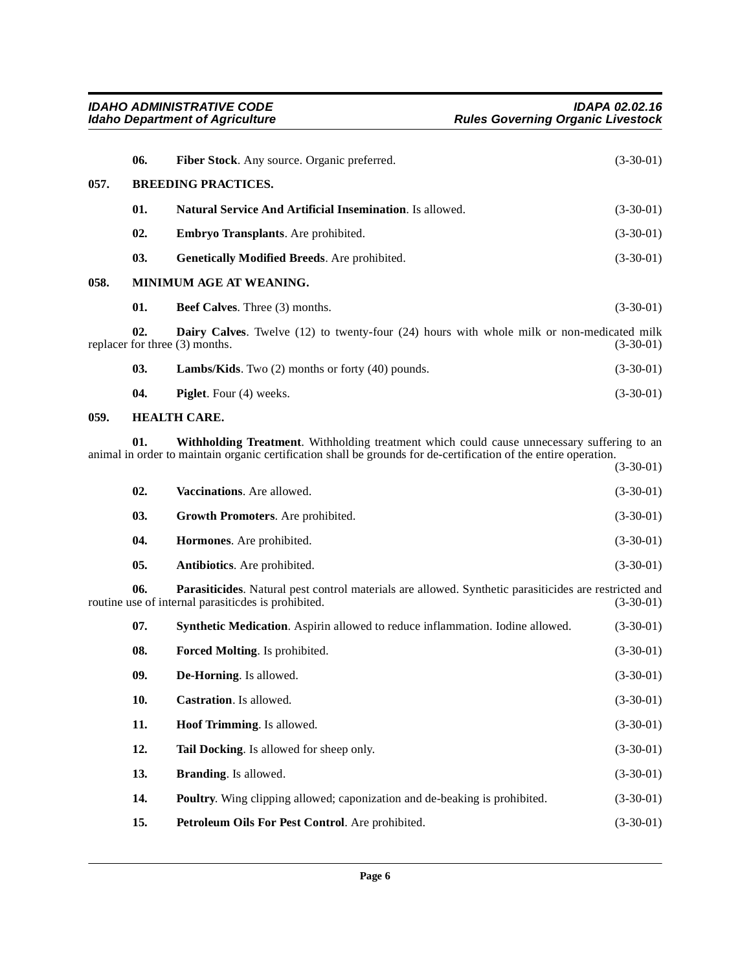<span id="page-5-19"></span><span id="page-5-18"></span><span id="page-5-12"></span><span id="page-5-10"></span><span id="page-5-9"></span><span id="page-5-7"></span><span id="page-5-5"></span><span id="page-5-4"></span><span id="page-5-1"></span><span id="page-5-0"></span>

|      | 06.                        | Fiber Stock. Any source. Organic preferred.                                                                                                                                                                    | $(3-30-01)$ |
|------|----------------------------|----------------------------------------------------------------------------------------------------------------------------------------------------------------------------------------------------------------|-------------|
| 057. | <b>BREEDING PRACTICES.</b> |                                                                                                                                                                                                                |             |
|      | 01.                        | Natural Service And Artificial Insemination. Is allowed.                                                                                                                                                       | $(3-30-01)$ |
|      | 02.                        | Embryo Transplants. Are prohibited.                                                                                                                                                                            | $(3-30-01)$ |
|      | 03.                        | <b>Genetically Modified Breeds.</b> Are prohibited.                                                                                                                                                            | $(3-30-01)$ |
| 058. |                            | MINIMUM AGE AT WEANING.                                                                                                                                                                                        |             |
|      | 01.                        | <b>Beef Calves.</b> Three (3) months.                                                                                                                                                                          | $(3-30-01)$ |
|      | 02.                        | <b>Dairy Calves.</b> Twelve (12) to twenty-four (24) hours with whole milk or non-medicated milk<br>replacer for three (3) months.                                                                             | $(3-30-01)$ |
|      | 03.                        | <b>Lambs/Kids.</b> Two $(2)$ months or forty $(40)$ pounds.                                                                                                                                                    | $(3-30-01)$ |
|      | 04.                        | <b>Piglet.</b> Four (4) weeks.                                                                                                                                                                                 | $(3-30-01)$ |
| 059. |                            | <b>HEALTH CARE.</b>                                                                                                                                                                                            |             |
|      | 01.                        | Withholding Treatment. Withholding treatment which could cause unnecessary suffering to an<br>animal in order to maintain organic certification shall be grounds for de-certification of the entire operation. | $(3-30-01)$ |
|      | 02.                        | Vaccinations. Are allowed.                                                                                                                                                                                     | $(3-30-01)$ |

<span id="page-5-27"></span><span id="page-5-26"></span><span id="page-5-22"></span><span id="page-5-17"></span><span id="page-5-16"></span><span id="page-5-14"></span><span id="page-5-13"></span><span id="page-5-3"></span><span id="page-5-2"></span>

| 03. | <b>Growth Promoters.</b> Are prohibited. | $(3-30-01)$ |
|-----|------------------------------------------|-------------|
| 04. | <b>Hormones.</b> Are prohibited.         | $(3-30-01)$ |
| 05. | <b>Antibiotics.</b> Are prohibited.      | $(3-30-01)$ |

**06. Parasiticides**. Natural pest control materials are allowed. Synthetic parasiticides are restricted and routine use of internal parasiticdes is prohibited. (3-30-01)

<span id="page-5-25"></span><span id="page-5-24"></span><span id="page-5-23"></span><span id="page-5-21"></span><span id="page-5-20"></span><span id="page-5-15"></span><span id="page-5-11"></span><span id="page-5-8"></span><span id="page-5-6"></span>

| 07.        | <b>Synthetic Medication.</b> Aspirin allowed to reduce inflammation. Iodine allowed. | $(3-30-01)$ |
|------------|--------------------------------------------------------------------------------------|-------------|
| 08.        | <b>Forced Molting.</b> Is prohibited.                                                | $(3-30-01)$ |
| 09.        | <b>De-Horning.</b> Is allowed.                                                       | $(3-30-01)$ |
| <b>10.</b> | <b>Castration.</b> Is allowed.                                                       | $(3-30-01)$ |
| 11.        | <b>Hoof Trimming.</b> Is allowed.                                                    | $(3-30-01)$ |
| 12.        | <b>Tail Docking.</b> Is allowed for sheep only.                                      | $(3-30-01)$ |
| 13.        | <b>Branding.</b> Is allowed.                                                         | $(3-30-01)$ |
| 14.        | <b>Poultry.</b> Wing clipping allowed; caponization and de-beaking is prohibited.    | $(3-30-01)$ |
| 15.        | <b>Petroleum Oils For Pest Control.</b> Are prohibited.                              | $(3-30-01)$ |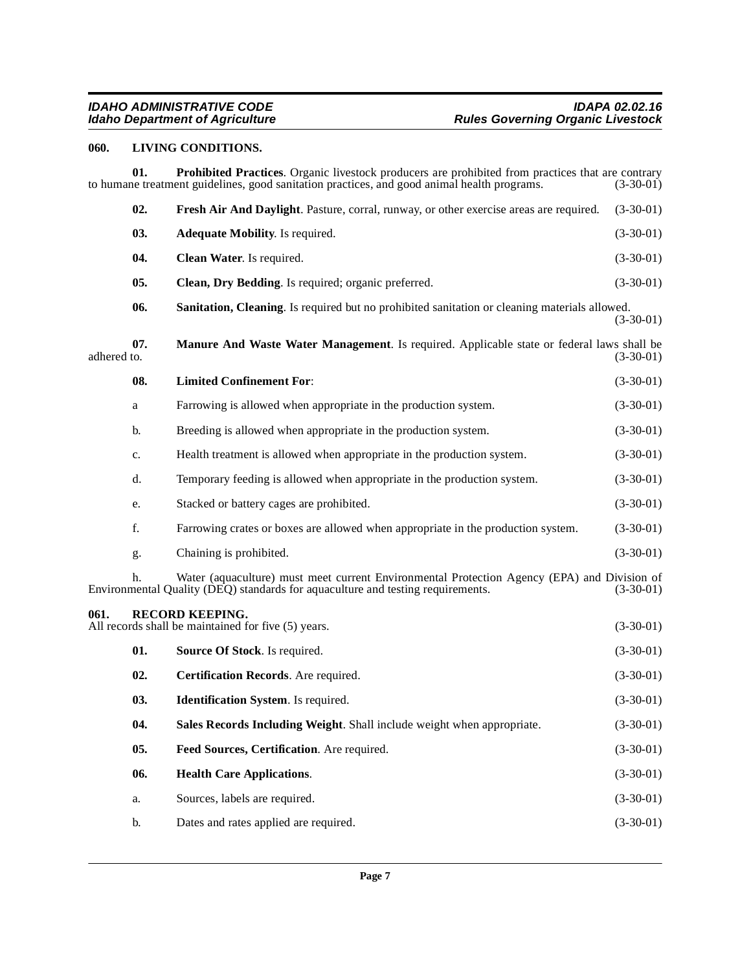# <span id="page-6-11"></span><span id="page-6-10"></span><span id="page-6-0"></span>**060. LIVING CONDITIONS.**

<span id="page-6-14"></span><span id="page-6-13"></span><span id="page-6-12"></span><span id="page-6-9"></span><span id="page-6-8"></span><span id="page-6-7"></span><span id="page-6-6"></span><span id="page-6-5"></span><span id="page-6-4"></span><span id="page-6-3"></span><span id="page-6-2"></span><span id="page-6-1"></span>

|             | 01. | Prohibited Practices. Organic livestock producers are prohibited from practices that are contrary<br>to humane treatment guidelines, good sanitation practices, and good animal health programs. | $(3-30-01)$ |
|-------------|-----|--------------------------------------------------------------------------------------------------------------------------------------------------------------------------------------------------|-------------|
|             | 02. | Fresh Air And Daylight. Pasture, corral, runway, or other exercise areas are required.                                                                                                           | $(3-30-01)$ |
|             | 03. | <b>Adequate Mobility.</b> Is required.                                                                                                                                                           | $(3-30-01)$ |
|             | 04. | Clean Water. Is required.                                                                                                                                                                        | $(3-30-01)$ |
|             | 05. | Clean, Dry Bedding. Is required; organic preferred.                                                                                                                                              | $(3-30-01)$ |
|             | 06. | Sanitation, Cleaning. Is required but no prohibited sanitation or cleaning materials allowed.                                                                                                    | $(3-30-01)$ |
| adhered to. | 07. | Manure And Waste Water Management. Is required. Applicable state or federal laws shall be                                                                                                        | $(3-30-01)$ |
|             | 08. | <b>Limited Confinement For:</b>                                                                                                                                                                  | $(3-30-01)$ |
|             | a   | Farrowing is allowed when appropriate in the production system.                                                                                                                                  | $(3-30-01)$ |
|             | b.  | Breeding is allowed when appropriate in the production system.                                                                                                                                   | $(3-30-01)$ |
|             | c.  | Health treatment is allowed when appropriate in the production system.                                                                                                                           | $(3-30-01)$ |
|             | d.  | Temporary feeding is allowed when appropriate in the production system.                                                                                                                          | $(3-30-01)$ |
|             | e.  | Stacked or battery cages are prohibited.                                                                                                                                                         | $(3-30-01)$ |
|             | f.  | Farrowing crates or boxes are allowed when appropriate in the production system.                                                                                                                 | $(3-30-01)$ |
|             | g.  | Chaining is prohibited.                                                                                                                                                                          | $(3-30-01)$ |
|             | h.  | Water (aquaculture) must meet current Environmental Protection Agency (EPA) and Division of<br>Environmental Quality (DEQ) standards for aquaculture and testing requirements.                   | $(3-30-01)$ |
| 061.        |     | <b>RECORD KEEPING.</b><br>All records shall be maintained for five (5) years.                                                                                                                    | $(3-30-01)$ |
|             | 01. | Source Of Stock. Is required.                                                                                                                                                                    | $(3-30-01)$ |
|             | 02. | Certification Records. Are required.                                                                                                                                                             | $(3-30-01)$ |
|             | 03. | <b>Identification System.</b> Is required.                                                                                                                                                       | $(3-30-01)$ |
|             | 04. | Sales Records Including Weight. Shall include weight when appropriate.                                                                                                                           | $(3-30-01)$ |
|             | 05. | Feed Sources, Certification. Are required.                                                                                                                                                       | $(3-30-01)$ |
|             | 06. | <b>Health Care Applications.</b>                                                                                                                                                                 | $(3-30-01)$ |
|             | a.  | Sources, labels are required.                                                                                                                                                                    | $(3-30-01)$ |
|             | b.  | Dates and rates applied are required.                                                                                                                                                            | $(3-30-01)$ |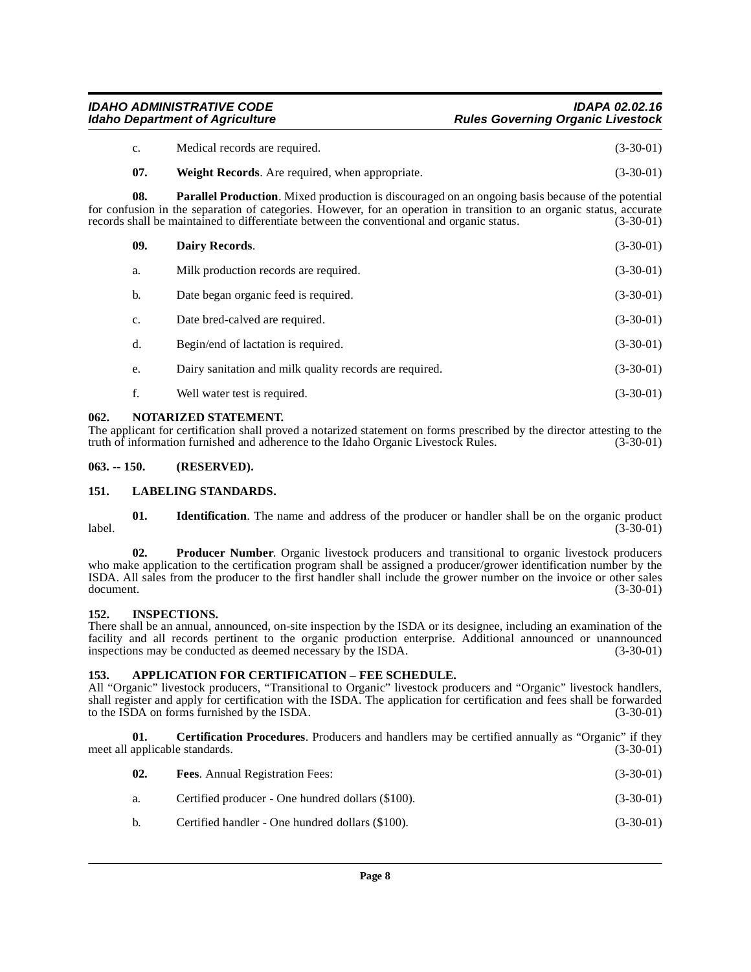# IDAHO ADMINISTRATIVE CODE<br>Idaho Department of Agriculture **Integrative Studies** Rules Governing Organic Livestock **Rules Governing Organic Livestock**

- c. Medical records are required. (3-30-01)
- <span id="page-7-12"></span>**07.** Weight Records. Are required, when appropriate. (3-30-01)

**08. Parallel Production**. Mixed production is discouraged on an ongoing basis because of the potential for confusion in the separation of categories. However, for an operation in transition to an organic status, accurate records shall be maintained to differentiate between the conventional and organic status. (3-30-01) records shall be maintained to differentiate between the conventional and organic status.

<span id="page-7-7"></span>

| 09.   | Dairy Records.                                          | $(3-30-01)$ |
|-------|---------------------------------------------------------|-------------|
| a.    | Milk production records are required.                   | $(3-30-01)$ |
| b.    | Date began organic feed is required.                    | $(3-30-01)$ |
| c.    | Date bred-calved are required.                          | $(3-30-01)$ |
| $d$ . | Begin/end of lactation is required.                     | $(3-30-01)$ |
| e.    | Dairy sanitation and milk quality records are required. | $(3-30-01)$ |
| f.    | Well water test is required.                            | $(3-30-01)$ |
|       |                                                         |             |

### <span id="page-7-11"></span><span id="page-7-0"></span>**062. NOTARIZED STATEMENT.**

The applicant for certification shall proved a notarized statement on forms prescribed by the director attesting to the truth of information furnished and adherence to the Idaho Organic Livestock Rules. (3-30-01)

### <span id="page-7-1"></span>**063. -- 150. (RESERVED).**

### <span id="page-7-10"></span><span id="page-7-2"></span>**151. LABELING STANDARDS.**

**01.** Identification. The name and address of the producer or handler shall be on the organic product (3-30-01) label. (3-30-01)

**02. Producer Number**. Organic livestock producers and transitional to organic livestock producers who make application to the certification program shall be assigned a producer/grower identification number by the ISDA. All sales from the producer to the first handler shall include the grower number on the invoice or other sales  $d$  document.  $(3-30-01)$ 

### <span id="page-7-9"></span><span id="page-7-3"></span>**152. INSPECTIONS.**

There shall be an annual, announced, on-site inspection by the ISDA or its designee, including an examination of the facility and all records pertinent to the organic production enterprise. Additional announced or unannounced inspections may be conducted as deemed necessary by the ISDA. (3-30-01) inspections may be conducted as deemed necessary by the ISDA.

### <span id="page-7-5"></span><span id="page-7-4"></span>**153. APPLICATION FOR CERTIFICATION – FEE SCHEDULE.**

All "Organic" livestock producers, "Transitional to Organic" livestock producers and "Organic" livestock handlers, shall register and apply for certification with the ISDA. The application for certification and fees shall be forwarded to the ISDA on forms furnished by the ISDA. (3-30-01)

**01. Certification Procedures**. Producers and handlers may be certified annually as "Organic" if they applicable standards. (3-30-01) meet all applicable standards.

<span id="page-7-8"></span><span id="page-7-6"></span>

| 02. | <b>Fees.</b> Annual Registration Fees:            | $(3-30-01)$ |
|-----|---------------------------------------------------|-------------|
| а.  | Certified producer - One hundred dollars (\$100). | $(3-30-01)$ |

b. Certified handler - One hundred dollars (\$100). (3-30-01)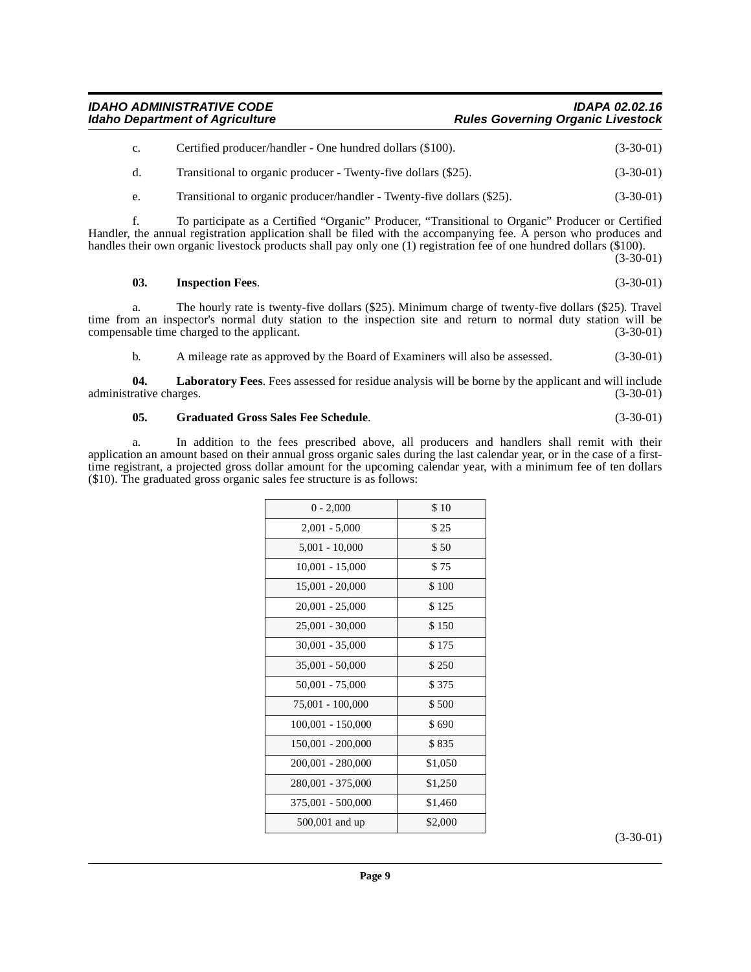### IDAHO ADMINISTRATIVE CODE<br>Idaho Department of Agriculture **Integrative Studies** Rules Governing Organic Livestock **Rules Governing Organic Livestock**

| C. | Certified producer/handler - One hundred dollars (\$100).      | $(3-30-01)$ |
|----|----------------------------------------------------------------|-------------|
|    | Transitional to organic producer - Twenty-five dollars (\$25). | $(3-30-01)$ |

e. Transitional to organic producer/handler - Twenty-five dollars (\$25). (3-30-01)

f. To participate as a Certified "Organic" Producer, "Transitional to Organic" Producer or Certified Handler, the annual registration application shall be filed with the accompanying fee. A person who produces and handles their own organic livestock products shall pay only one (1) registration fee of one hundred dollars (\$100).

(3-30-01)

### <span id="page-8-1"></span>**03. Inspection Fees**. (3-30-01)

a. The hourly rate is twenty-five dollars (\$25). Minimum charge of twenty-five dollars (\$25). Travel time from an inspector's normal duty station to the inspection site and return to normal duty station will be compensable time charged to the applicant. (3-30-01)

<span id="page-8-2"></span>b. A mileage rate as approved by the Board of Examiners will also be assessed. (3-30-01)

**04.** Laboratory Fees. Fees assessed for residue analysis will be borne by the applicant and will include rative charges. (3-30-01) administrative charges.

### <span id="page-8-0"></span>**05. Graduated Gross Sales Fee Schedule**. (3-30-01)

a. In addition to the fees prescribed above, all producers and handlers shall remit with their application an amount based on their annual gross organic sales during the last calendar year, or in the case of a firsttime registrant, a projected gross dollar amount for the upcoming calendar year, with a minimum fee of ten dollars (\$10). The graduated gross organic sales fee structure is as follows:

| $0 - 2,000$       | \$10    |
|-------------------|---------|
| $2,001 - 5,000$   | \$25    |
| $5,001 - 10,000$  | \$50    |
| $10,001 - 15,000$ | \$75    |
| 15,001 - 20,000   | \$100   |
| $20,001 - 25,000$ | \$125   |
| 25,001 - 30,000   | \$150   |
| $30,001 - 35,000$ | \$175   |
| 35,001 - 50,000   | \$250   |
| 50,001 - 75,000   | \$375   |
| 75,001 - 100,000  | \$500   |
| 100,001 - 150,000 | \$690   |
| 150,001 - 200,000 | \$835   |
| 200,001 - 280,000 | \$1,050 |
| 280,001 - 375,000 | \$1,250 |
| 375,001 - 500,000 | \$1,460 |
| 500,001 and up    | \$2,000 |

(3-30-01)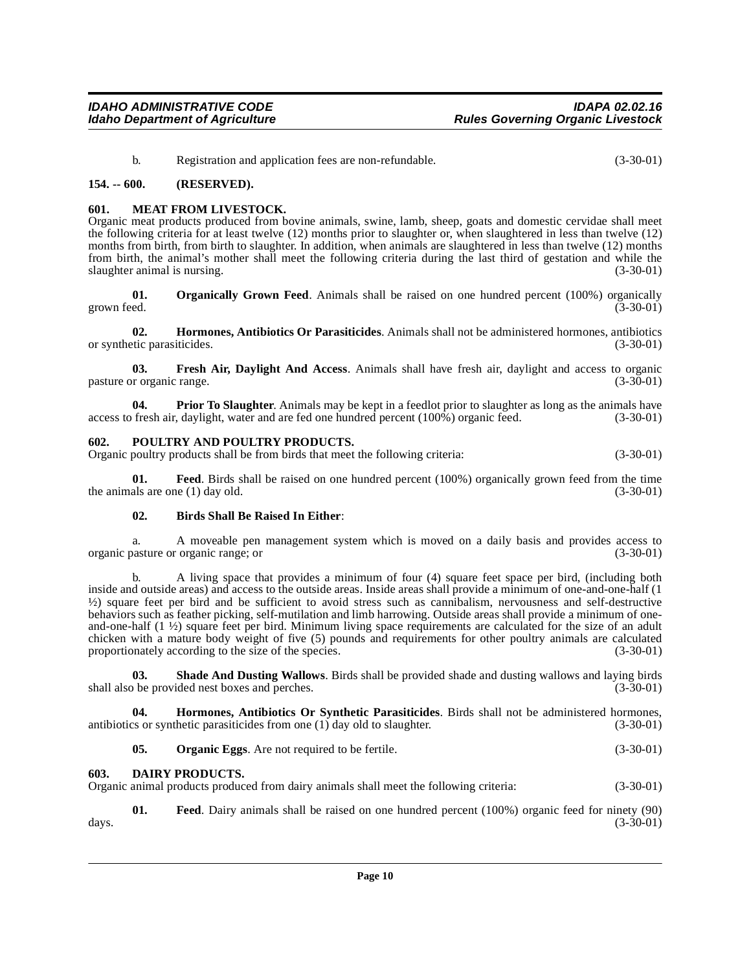<span id="page-9-6"></span>b. Registration and application fees are non-refundable. (3-30-01)

### <span id="page-9-0"></span>**154. -- 600. (RESERVED).**

### <span id="page-9-1"></span>**601. MEAT FROM LIVESTOCK.**

Organic meat products produced from bovine animals, swine, lamb, sheep, goats and domestic cervidae shall meet the following criteria for at least twelve (12) months prior to slaughter or, when slaughtered in less than twelve (12) months from birth, from birth to slaughter. In addition, when animals are slaughtered in less than twelve (12) months from birth, the animal's mother shall meet the following criteria during the last third of gestation and while the slaughter animal is nursing.

<span id="page-9-8"></span>**01. Organically Grown Feed**. Animals shall be raised on one hundred percent (100%) organically grown feed.  $(3-30-01)$ 

<span id="page-9-5"></span>**02. Hormones, Antibiotics Or Parasiticides**. Animals shall not be administered hormones, antibiotics or synthetic parasiticides.

**03. Fresh Air, Daylight And Access**. Animals shall have fresh air, daylight and access to organic pasture or organic range. (3-30-01) (3-30-01)

**04. Prior To Slaughter**. Animals may be kept in a feedlot prior to slaughter as long as the animals have fresh air, davlight, water and are fed one hundred percent (100%) organic feed. (3-30-01) access to fresh air, daylight, water and are fed one hundred percent (100%) organic feed.

### <span id="page-9-9"></span><span id="page-9-2"></span>**602. POULTRY AND POULTRY PRODUCTS.**

Organic poultry products shall be from birds that meet the following criteria: (3-30-01)

**01. Feed**. Birds shall be raised on one hundred percent (100%) organically grown feed from the time the animals are one (1) day old.  $(3-30-01)$ 

### **02. Birds Shall Be Raised In Either**:

a. A moveable pen management system which is moved on a daily basis and provides access to (3-30-01) (3-30-01) organic pasture or organic range; or

b. A living space that provides a minimum of four (4) square feet space per bird, (including both inside and outside areas) and access to the outside areas. Inside areas shall provide a minimum of one-and-one-half (1 ½) square feet per bird and be sufficient to avoid stress such as cannibalism, nervousness and self-destructive behaviors such as feather picking, self-mutilation and limb harrowing. Outside areas shall provide a minimum of oneand-one-half  $(1 \frac{1}{2})$  square feet per bird. Minimum living space requirements are calculated for the size of an adult chicken with a mature body weight of five (5) pounds and requirements for other poultry animals are calculated proportionately according to the size of the species. (3-30-01)

<span id="page-9-10"></span>**03.** Shade And Dusting Wallows. Birds shall be provided shade and dusting wallows and laying birds boxes and perches. (3-30-01) shall also be provided nest boxes and perches.

**04. Hormones, Antibiotics Or Synthetic Parasiticides**. Birds shall not be administered hormones, antibiotics or synthetic parasiticides from one (1) day old to slaughter. (3-30-01)

<span id="page-9-7"></span><span id="page-9-4"></span>**05. Organic Eggs**. Are not required to be fertile. (3-30-01)

### <span id="page-9-3"></span>**603. DAIRY PRODUCTS.**

Organic animal products produced from dairy animals shall meet the following criteria: (3-30-01)

**01. Feed**. Dairy animals shall be raised on one hundred percent (100%) organic feed for ninety (90) days. (3-30-01)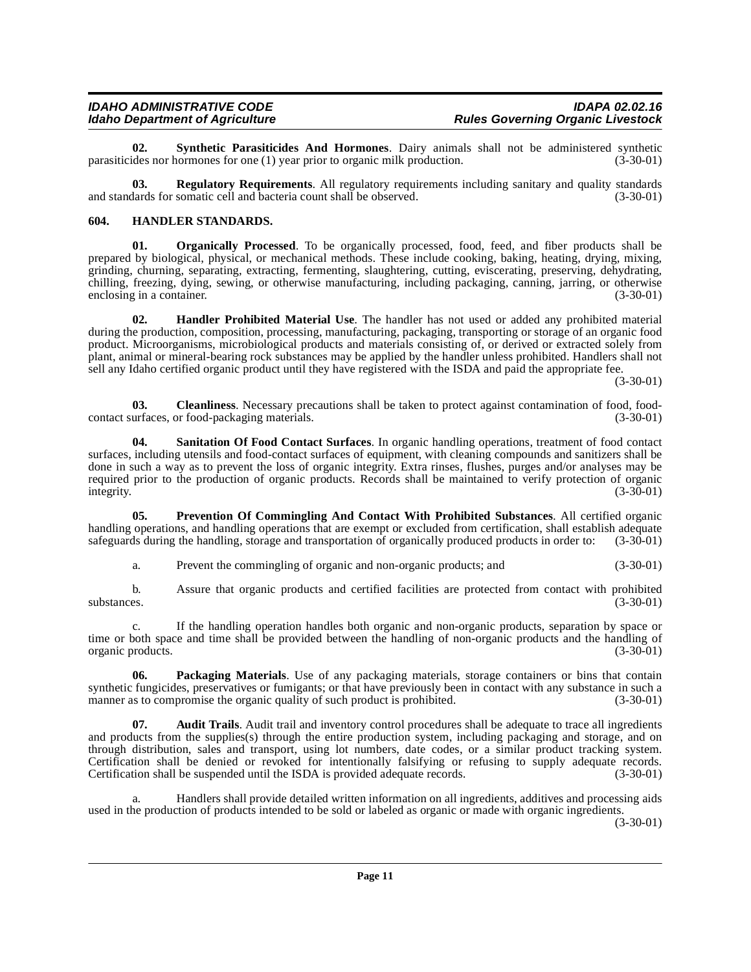<span id="page-10-8"></span>**02. Synthetic Parasiticides And Hormones**. Dairy animals shall not be administered synthetic des nor hormones for one (1) year prior to organic milk production. (3-30-01) parasiticides nor hormones for one  $(1)$  year prior to organic milk production.

**03. Regulatory Requirements**. All regulatory requirements including sanitary and quality standards and standards for somatic cell and bacteria count shall be observed. (3-30-01)

### <span id="page-10-4"></span><span id="page-10-2"></span><span id="page-10-0"></span>**604. HANDLER STANDARDS.**

**01. Organically Processed**. To be organically processed, food, feed, and fiber products shall be prepared by biological, physical, or mechanical methods. These include cooking, baking, heating, drying, mixing, grinding, churning, separating, extracting, fermenting, slaughtering, cutting, eviscerating, preserving, dehydrating, chilling, freezing, dying, sewing, or otherwise manufacturing, including packaging, canning, jarring, or otherwise enclosing in a container.

<span id="page-10-3"></span>**02. Handler Prohibited Material Use**. The handler has not used or added any prohibited material during the production, composition, processing, manufacturing, packaging, transporting or storage of an organic food product. Microorganisms, microbiological products and materials consisting of, or derived or extracted solely from plant, animal or mineral-bearing rock substances may be applied by the handler unless prohibited. Handlers shall not sell any Idaho certified organic product until they have registered with the ISDA and paid the appropriate fee.

(3-30-01)

**03.** Cleanliness. Necessary precautions shall be taken to protect against contamination of food, food-urfaces, or food-packaging materials. (3-30-01) contact surfaces, or food-packaging materials.

<span id="page-10-7"></span>**04. Sanitation Of Food Contact Surfaces**. In organic handling operations, treatment of food contact surfaces, including utensils and food-contact surfaces of equipment, with cleaning compounds and sanitizers shall be done in such a way as to prevent the loss of organic integrity. Extra rinses, flushes, purges and/or analyses may be required prior to the production of organic products. Records shall be maintained to verify protection of organic integrity. (3-30-01) integrity. (3-30-01)

**05. Prevention Of Commingling And Contact With Prohibited Substances**. All certified organic handling operations, and handling operations that are exempt or excluded from certification, shall establish adequate safeguards during the handling, storage and transportation of organically produced products in order to: safeguards during the handling, storage and transportation of organically produced products in order to:

<span id="page-10-6"></span>a. Prevent the commingling of organic and non-organic products; and (3-30-01)

b. Assure that organic products and certified facilities are protected from contact with prohibited substances.  $(3-30-01)$ 

c. If the handling operation handles both organic and non-organic products, separation by space or time or both space and time shall be provided between the handling of non-organic products and the handling of organic products.<br>(3-30-01) organic products.

<span id="page-10-5"></span>**06. Packaging Materials**. Use of any packaging materials, storage containers or bins that contain synthetic fungicides, preservatives or fumigants; or that have previously been in contact with any substance in such a manner as to compromise the organic quality of such product is prohibited. (3-30-01) manner as to compromise the organic quality of such product is prohibited.

<span id="page-10-1"></span>**07. Audit Trails**. Audit trail and inventory control procedures shall be adequate to trace all ingredients and products from the supplies(s) through the entire production system, including packaging and storage, and on through distribution, sales and transport, using lot numbers, date codes, or a similar product tracking system. Certification shall be denied or revoked for intentionally falsifying or refusing to supply adequate records. Certification shall be suspended until the ISDA is provided adequate records. (3-30-01)

a. Handlers shall provide detailed written information on all ingredients, additives and processing aids used in the production of products intended to be sold or labeled as organic or made with organic ingredients.

(3-30-01)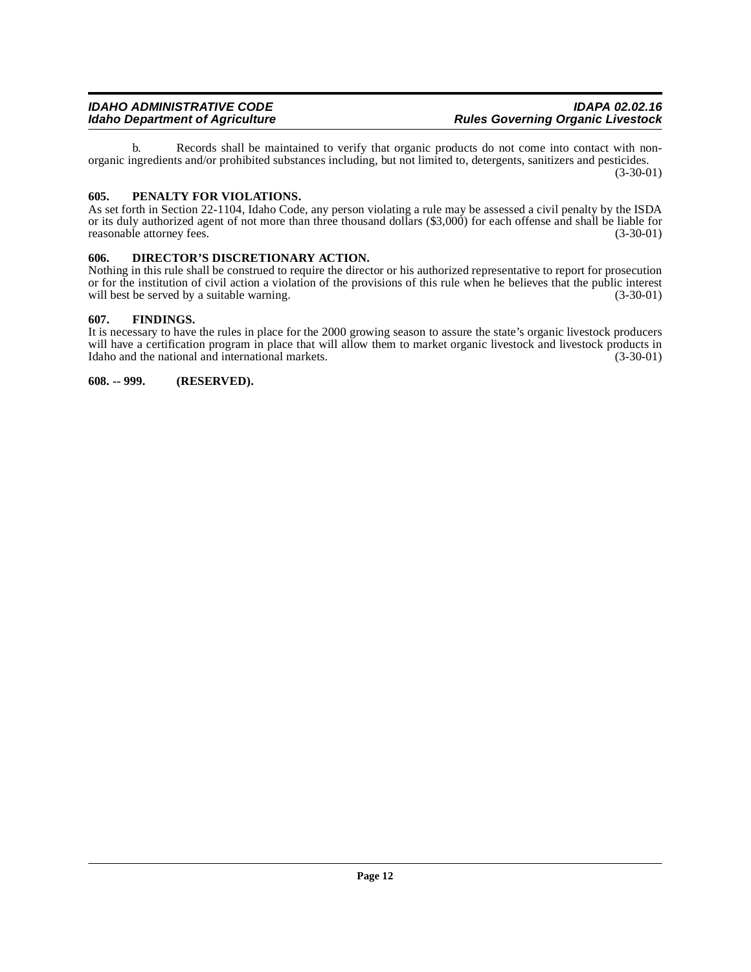b. Records shall be maintained to verify that organic products do not come into contact with nonorganic ingredients and/or prohibited substances including, but not limited to, detergents, sanitizers and pesticides. (3-30-01)

### <span id="page-11-4"></span><span id="page-11-0"></span>**605. PENALTY FOR VIOLATIONS.**

As set forth in Section 22-1104, Idaho Code, any person violating a rule may be assessed a civil penalty by the ISDA or its duly authorized agent of not more than three thousand dollars (\$3,000) for each offense and shall be liable for<br>(3-30-01) (3-30-01) reasonable attorney fees.

### <span id="page-11-1"></span>**606. DIRECTOR'S DISCRETIONARY ACTION.**

Nothing in this rule shall be construed to require the director or his authorized representative to report for prosecution or for the institution of civil action a violation of the provisions of this rule when he believes that the public interest will best be served by a suitable warning. (3-30-01) will best be served by a suitable warning.

### <span id="page-11-2"></span>**607. FINDINGS.**

It is necessary to have the rules in place for the 2000 growing season to assure the state's organic livestock producers will have a certification program in place that will allow them to market organic livestock and livestock products in Idaho and the national and international markets. (3-30-01) Idaho and the national and international markets.

<span id="page-11-3"></span>**608. -- 999. (RESERVED).**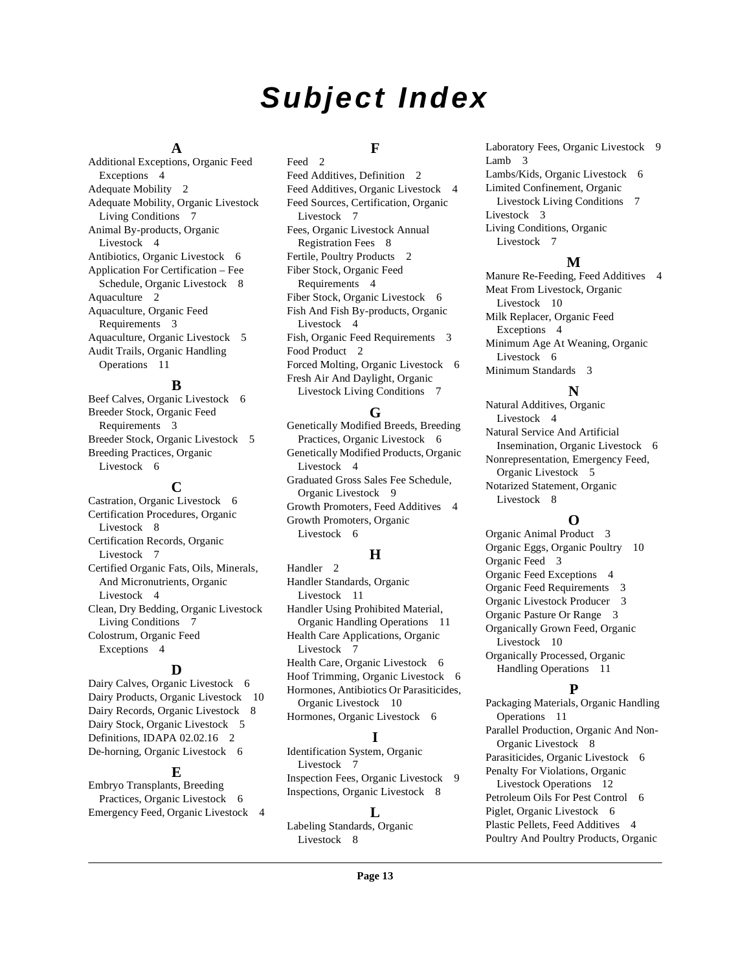# **Subject Index**

### **A**

Additional Exceptions, Organic Feed Exceptions [4](#page-3-3) Adequate Mobility [2](#page-1-6) Adequate Mobility, Organic Livestock Living Conditions [7](#page-6-2) Animal By-products, Organic Livestock [4](#page-3-4) Antibiotics, Organic Livestock [6](#page-5-3) Application For Certification – Fee Schedule, Organic Livestock [8](#page-7-5) Aquaculture [2](#page-1-7) Aquaculture, Organic Feed Requirements [3](#page-2-3) Aquaculture, Organic Livestock [5](#page-4-2) Audit Trails, Organic Handling Operations [11](#page-10-1)

### **B**

Beef Calves, Organic Livestock [6](#page-5-4) Breeder Stock, Organic Feed Requirements [3](#page-2-4) Breeder Stock, Organic Livestock [5](#page-4-3) Breeding Practices, Organic Livestock [6](#page-5-5)

## **C**

Castration, Organic Livestock [6](#page-5-6) Certification Procedures, Organic Livestock [8](#page-7-6) Certification Records, Organic Livestock [7](#page-6-3) Certified Organic Fats, Oils, Minerals, And Micronutrients, Organic Livestock [4](#page-3-5) Clean, Dry Bedding, Organic Livestock Living Conditions [7](#page-6-4) Colostrum, Organic Feed Exceptions [4](#page-3-6)

### **D**

Dairy Calves, Organic Livestock [6](#page-5-7) Dairy Products, Organic Livestock [10](#page-9-4) Dairy Records, Organic Livestock [8](#page-7-7) Dairy Stock, Organic Livestock [5](#page-4-4) Definitions, IDAPA 02.02.16 [2](#page-1-8) De-horning, Organic Livestock [6](#page-5-8)

### **E**

Embryo Transplants, Breeding Practices, Organic Livestock [6](#page-5-9) Emergency Feed, Organic Livestock [4](#page-3-7)

# **F**

Feed [2](#page-1-9) Feed Additives, Definition [2](#page-1-10) Feed Additives, Organic Livestock [4](#page-3-8) Feed Sources, Certification, Organic Livestock [7](#page-6-5) Fees, Organic Livestock Annual Registration Fees [8](#page-7-8) Fertile, Poultry Products [2](#page-1-11) Fiber Stock, Organic Feed Requirements [4](#page-3-9) Fiber Stock, Organic Livestock [6](#page-5-10) Fish And Fish By-products, Organic Livestock [4](#page-3-10) Fish, Organic Feed Requirements [3](#page-2-5) Food Product [2](#page-1-12) Forced Molting, Organic Livestock [6](#page-5-11) Fresh Air And Daylight, Organic Livestock Living Conditions [7](#page-6-6)

# **G**

Genetically Modified Breeds, Breeding Practices, Organic Livestock [6](#page-5-12) Genetically Modified Products, Organic Livestock [4](#page-3-11) Graduated Gross Sales Fee Schedule, Organic Livestock [9](#page-8-0) Growth Promoters, Feed Additives [4](#page-3-12) Growth Promoters, Organic Livestock [6](#page-5-13)

# **H**

Handler<sub>2</sub> Handler Standards, Organic Livestock [11](#page-10-2) Handler Using Prohibited Material, Organic Handling Operations [11](#page-10-3) Health Care Applications, Organic Livestock [7](#page-6-7) Health Care, Organic Livestock [6](#page-5-14) Hoof Trimming, Organic Livestock [6](#page-5-15) Hormones, Antibiotics Or Parasiticides, Organic Livestock [10](#page-9-5) Hormones, Organic Livestock [6](#page-5-16)

# **I**

Identification System, Organic Livestock [7](#page-6-8) Inspection Fees, Organic Livestock [9](#page-8-1) Inspections, Organic Livestock [8](#page-7-9)

### **L**

Labeling Standards, Organic Livestock [8](#page-7-10)

Laboratory Fees, Organic Livestock [9](#page-8-2) Lamb [3](#page-2-6) Lambs/Kids, Organic Livestock [6](#page-5-17) Limited Confinement, Organic Livestock Living Conditions [7](#page-6-9) Livestock [3](#page-2-7) Living Conditions, Organic Livestock [7](#page-6-10)

### **M**

Manure Re-Feeding, Feed Additives [4](#page-3-13) Meat From Livestock, Organic Livestock [10](#page-9-6) Milk Replacer, Organic Feed Exceptions [4](#page-3-14) Minimum Age At Weaning, Organic Livestock [6](#page-5-18) Minimum Standards [3](#page-2-8)

# **N**

Natural Additives, Organic Livestock [4](#page-3-15) Natural Service And Artificial Insemination, Organic Livestock [6](#page-5-19) Nonrepresentation, Emergency Feed, Organic Livestock [5](#page-4-5) Notarized Statement, Organic Livestock [8](#page-7-11)

# **O**

Organic Animal Product [3](#page-2-9) Organic Eggs, Organic Poultry [10](#page-9-7) Organic Feed [3](#page-2-10) Organic Feed Exceptions [4](#page-3-16) Organic Feed Requirements [3](#page-2-11) Organic Livestock Producer [3](#page-2-12) Organic Pasture Or Range [3](#page-2-13) Organically Grown Feed, Organic Livestock [10](#page-9-8) Organically Processed, Organic Handling Operations [11](#page-10-4)

# **P**

Packaging Materials, Organic Handling Operations [11](#page-10-5) Parallel Production, Organic And Non-Organic Livestock [8](#page-7-12) Parasiticides, Organic Livestock [6](#page-5-20) Penalty For Violations, Organic Livestock Operations [12](#page-11-4) Petroleum Oils For Pest Control [6](#page-5-21) Piglet, Organic Livestock [6](#page-5-22) Plastic Pellets, Feed Additives [4](#page-3-17) Poultry And Poultry Products, Organic